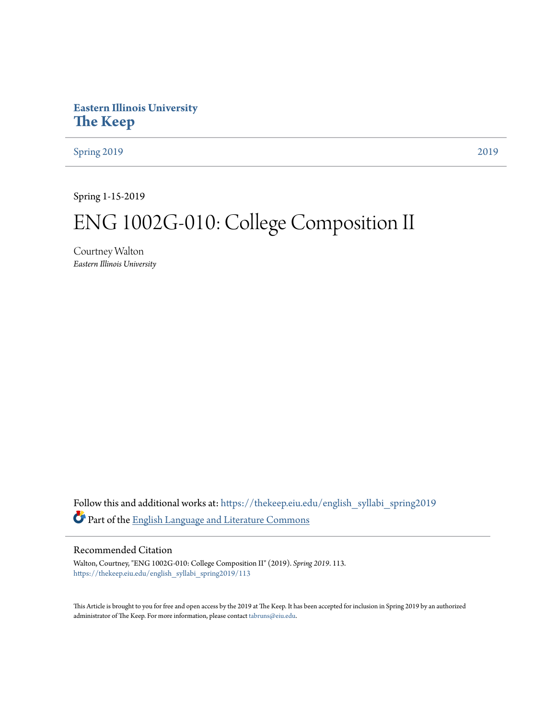## **Eastern Illinois University [The Keep](https://thekeep.eiu.edu?utm_source=thekeep.eiu.edu%2Fenglish_syllabi_spring2019%2F113&utm_medium=PDF&utm_campaign=PDFCoverPages)**

[Spring 2019](https://thekeep.eiu.edu/english_syllabi_spring2019?utm_source=thekeep.eiu.edu%2Fenglish_syllabi_spring2019%2F113&utm_medium=PDF&utm_campaign=PDFCoverPages) [2019](https://thekeep.eiu.edu/english_syllabi2019?utm_source=thekeep.eiu.edu%2Fenglish_syllabi_spring2019%2F113&utm_medium=PDF&utm_campaign=PDFCoverPages)

Spring 1-15-2019

# ENG 1002G-010: College Composition II

Courtney Walton *Eastern Illinois University*

Follow this and additional works at: [https://thekeep.eiu.edu/english\\_syllabi\\_spring2019](https://thekeep.eiu.edu/english_syllabi_spring2019?utm_source=thekeep.eiu.edu%2Fenglish_syllabi_spring2019%2F113&utm_medium=PDF&utm_campaign=PDFCoverPages) Part of the [English Language and Literature Commons](http://network.bepress.com/hgg/discipline/455?utm_source=thekeep.eiu.edu%2Fenglish_syllabi_spring2019%2F113&utm_medium=PDF&utm_campaign=PDFCoverPages)

#### Recommended Citation

Walton, Courtney, "ENG 1002G-010: College Composition II" (2019). *Spring 2019*. 113. [https://thekeep.eiu.edu/english\\_syllabi\\_spring2019/113](https://thekeep.eiu.edu/english_syllabi_spring2019/113?utm_source=thekeep.eiu.edu%2Fenglish_syllabi_spring2019%2F113&utm_medium=PDF&utm_campaign=PDFCoverPages)

This Article is brought to you for free and open access by the 2019 at The Keep. It has been accepted for inclusion in Spring 2019 by an authorized administrator of The Keep. For more information, please contact [tabruns@eiu.edu.](mailto:tabruns@eiu.edu)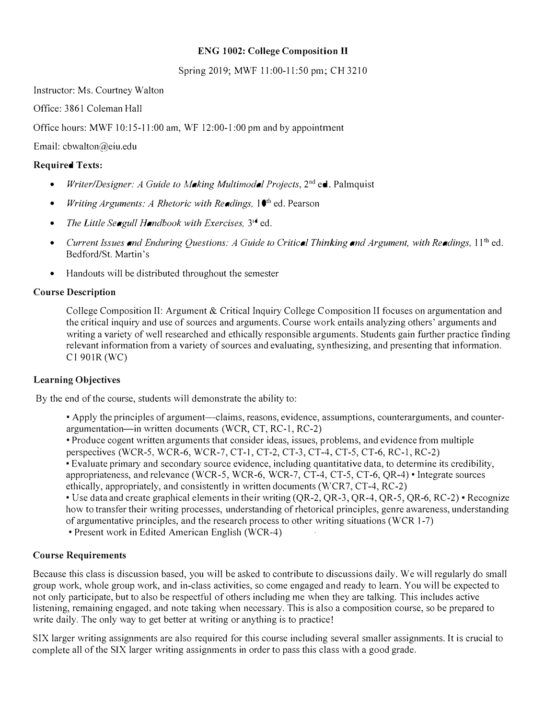## ENG 1002: College Composition II

Spring 2019; MWF 11:00-11:50 pm; CH 3210

Instructor: Ms. Courtney Walton

Office: 3861 Coleman Hall

Office hours: MWF 10:15-11:00 am, WF 12:00-1:00 pm and by appointment

Email: cbwalton@eiu.edu

## Required Texts:

- Writer/Designer: A Guide to Making Multimodal Projects,  $2<sup>nd</sup>$  ed. Palmquist
- Writing Arguments: A Rhetoric with Readings,  $1^{\text{th}}$  ed. Pearson
- The Little Seagull Handbook with Exercises,  $3^{\mathbf{i} \cdot \mathbf{d}}$  ed.
- Current Issues and Enduring Ouestions: A Guide to Critical Thinking and Argument, with Readings,  $11^{th}$  ed. Bedford/St. Martin's
- Handouts will be distributed throughout the semester

## Course Description

College Composition II: Argument & Critical Inquiry College Composition II focuses on argumentation and the critical inquiry and use of sources and arguments. Course work entails analyzing others' arguments and writing a variety of well researched and ethically responsible arguments. Students gain further practice finding relevant information from a variety of sources and evaluating, synthesizing, and presenting that information. Cl 901R (WC)

#### Learning Objectives

By the end of the course, students will demonstrate the ability to:

• Apply the principles of argument--claims, reasons, evidence, assumptions, counterarguments, and counterargumentation-in written documents (WCR, CT, RC-!, RC-2)

• Produce cogent written arguments that consider ideas, issues, problems, and evidence from multiple perspectives (WCR-5, WCR-6, WCR-7, CT-1, CT-2, CT-3, CT-4, CT-5, CT-6, RC-!, RC-2)

• Evaluate primary and secondary source evidence, including quantitative data, to determine its credibility, appropriateness, and relevance (WCR-5, WCR-6, WCR-7, CT-4, CT-5, CT-6, QR-4) • Integrate sources ethically, appropriately, and consistently in written documents (WCR7, CT-4, RC-2)

•Use data and create graphical elements in their writing (QR-2, QR-3, QR-4, QR-5, QR-6, RC-2) •Recognize how to transfer their writing processes, understanding of rhetorical principles, genre awareness, understanding of argumentative principles, and the research process to other writing situations (WCR 1-7)

•Present work in Edited American English (WCR-4)

#### Course Requirements

Because this class is discussion based, you will be asked to contribute to discussions daily. We will regularly do small group work, whole group work, and in-class activities, so come engaged and ready to learn. You will be expected to not only participate, but to also be respectful of others including me when they are talking. This includes active listening, remaining engaged, and note taking when necessary. This is also a composition course, so be prepared to write daily. The only way to get better at writing or anything is to practice!

SIX larger writing assignments are also required for this course including several smaller assignments. It is crucial to complete all of the SJX larger writing assignments in order to pass this class with a good grade.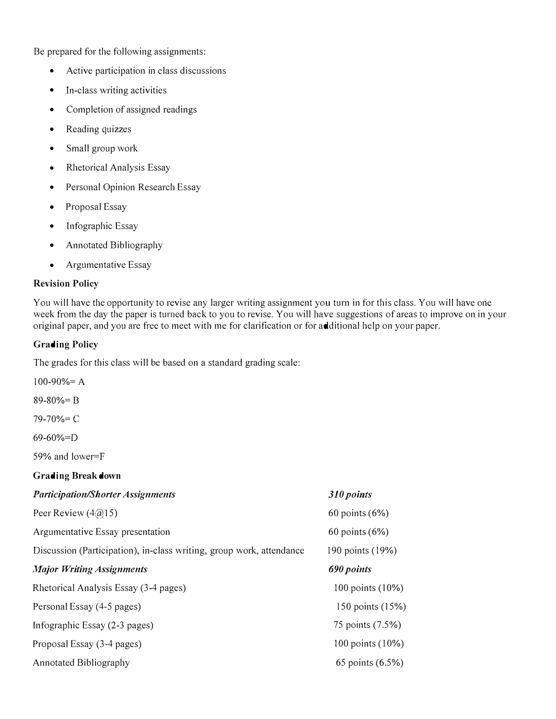Be prepared for the following assignments:

- Active participation in class discussions
- In-class writing activities
- Completion of assigned readings
- Reading quizzes
- Small group work
- Rhetorical Analysis Essay
- Personal Opinion Research Essay
- Proposal Essay
- Infographic Essay
- Annotated Bibliography
- Argumentative Essay

## Revision Policy

You will have the opportunity to revise any larger writing assignment you turn in for this class. You will have one week from the day the paper is turned back to you to revise. You will have suggestions of areas to improve on in your original paper, and you are free to meet with me for clarification or for additional help on your paper.

## Grading Policy

The grades for this class will be based on a standard grading scale:

| $100-90% = A$                                                        |                    |
|----------------------------------------------------------------------|--------------------|
| $89 - 80\% = B$                                                      |                    |
| $79 - 70% = C$                                                       |                    |
| $69-60\% = D$                                                        |                    |
| 59% and lower=F                                                      |                    |
| <b>Grading Break down</b>                                            |                    |
| <b>Participation/Shorter Assignments</b>                             | 310 points         |
| Peer Review $(4\textcircled{a}15)$                                   | $60$ points $(6%)$ |
| Argumentative Essay presentation                                     | $60$ points $(6%)$ |
| Discussion (Participation), in-class writing, group work, attendance | 190 points (19%)   |
| <b>Major Writing Assignments</b>                                     | 690 points         |
| Rhetorical Analysis Essay (3-4 pages)                                | 100 points (10%)   |
| Personal Essay (4-5 pages)                                           | 150 points (15%)   |
| Infographic Essay (2-3 pages)                                        | 75 points (7.5%)   |
| Proposal Essay (3-4 pages)                                           | 100 points (10%)   |
| <b>Annotated Bibliography</b>                                        | 65 points (6.5%)   |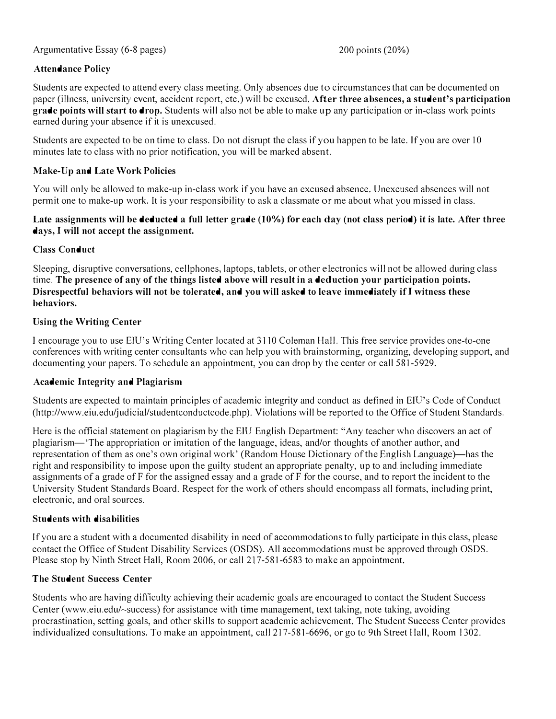## Argumentative Essay (6-8 pages)

200 points (20%)

## Attendance Policy

Students are expected to attend every class meeting. Only absences due to circumstances that can be documented on paper (i!Jness, university event, accident report, etc.) will be excused. After three absences, a student's participation grade points will start to drop. Students will also not be able to make up any participation or in-class work points earned during your absence if it is unexcused.

Students are expected to be on time to class. Do not disrupt the class if you happen to be late. If you are over 10 minutes late to class with no prior notification, you will be marked absent.

#### Make-Up and Late Work Policies

You will only be allowed to make-up in-class work if you have an excused absence. Unexcused absences will not permit one to make-up work. It is your responsibility to ask a classmate or me about what you missed in class.

#### Late assignments will be deducted a full letter grade (10%) for each day (not class period) it is late. After three days, I will not accept the assignment.

## Class Conduct

Sleeping, disruptive conversations, cellphones, laptops, tablets, or other electronics will not be allowed during class time. The presence of any of the things listed above will result in a deduction your participation points. Disrespectful behaviors will not be tolerated, and you will asked to leave immediately if I witness these behaviors.

## Using the Writing Center

I encourage you to use ElU's Writing Center located at 3110 Coleman Hall. This free service provides one-to-one conferences with writing center consultants who can help you with brainstorming, organizing, developing support, and documenting your papers. To schedule an appointment, you can drop by the center or call 581-5929.

#### Academic Integrity and Plagiarism

Students are expected to maintain principles of academic integrity and conduct as defined in EIU's Code of Conduct (http://www.eiu.edu/judicial/studentconductcode.php). Violations will be reported to the Office of Student Standards.

Here is the official statement on plagiarism by the EIU English Department: "Any teacher who discovers an act of plagiarism-'The appropriation or imitation of the language, ideas, and/or thoughts of another author, and representation of them as one's own original work' (Random House Dictionary of the English Language)—has the right and responsibility to impose upon the guilty student an appropriate penalty, up to and including immediate assignments of a grade of F for the assigned essay and a grade of F for the course, and to report the incident to the University Student Standards Board. Respect for the work of others should encompass all formats, including print, electronic, and oral sources.

#### Students with disabilities

If you are a student with a documented disability in need of accommodations to fully participate in this class, please contact the Office of Student Disability Services (OSDS). All accommodations must be approved through OSDS. Please stop by Ninth Street Hall, Room 2006, or call 217-581-6583 to make an appointment.

#### The Student Success Center

Students who are having difficulty achieving their academic goals are encouraged to contact the Student Success Center (www.eiu.edu/-success) for assistance with time management, text taking, note taking, avoiding procrastination, setting goals, and other skills to support academic achievement. The Student Success Center provides individualized consultations. To make an appointment, call 217-581-6696, or go to 9th Street Hall, Room 1302.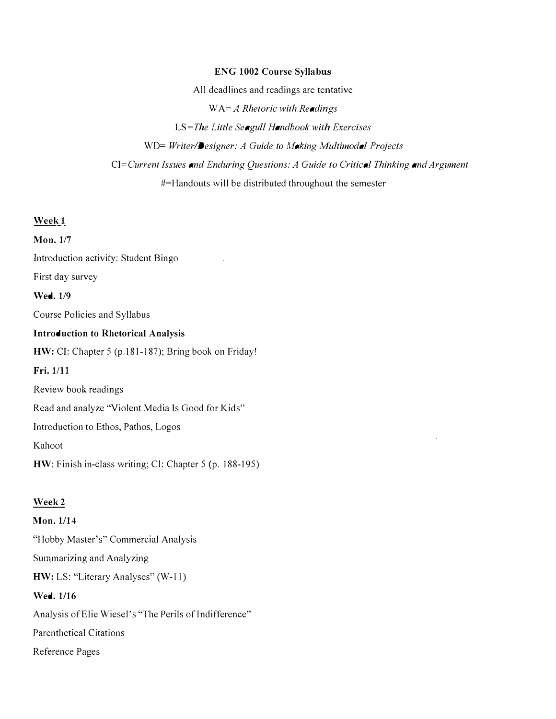#### ENG 1002 Course Syllabus

All deadlines and readings are tentative  $WA = A$  Rhetoric with Readings LS=The Little Seagull Handbook with Exercises WD= Writer/Designer: A Guide to Making Multimodal Projects CI=Current Issues and Enduring Questions: A Guide to Critical Thinking and Argument #=Handouts will be distributed throughout the semester

Week<sub>1</sub>

Mon. 1/7 Introduction activity: Student Bingo First day survey Wed. 1/9 Course Policies and Syllabus Introduction to Rhetorical Analysis HW: CI: Chapter 5 (p.181-187); Bring book on Friday! Fri. 1/11 Review book readings Read and analyze "Violent Media Is Good for Kids" Introduction to Ethos, Pathos, Logos Kahoot HW: Finish in-class writing; Cl: Chapter 5 (p. 188-195)

## Week2

Mon. 1/14 "Hobby Master's" Commercial Analysis Summarizing and Analyzing HW: LS: "Literary Analyses" (W-11) Wed. 1/16 Analysis of Elie Wiesel's "The Perils of Indifference" Parenthetical Citations Reference Pages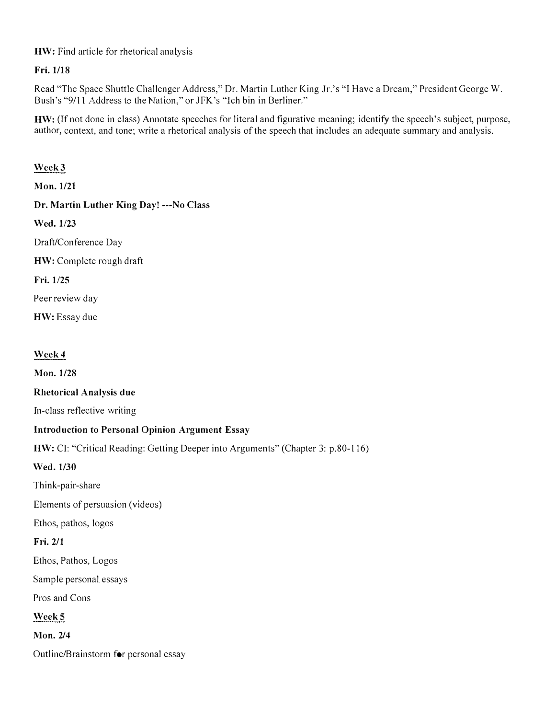HW: Find article for rhetorical analysis

Fri. 1/18

Read "The Space Shuttle Challenger Address," Dr. Martin Luther King Jr.'s "I Have a Dream," President George W. Bush's "9/11 Address to the Nation," or JFK's "Ich bin in Berliner."

HW: (lf not done in class) Annotate speeches for literal and figurative meaning; identify the speech's subject, purpose, author, context, and tone; write a rhetorical analysis of the speech that includes an adequate summary and analysis.

## Week3

Mon. 1/21

Dr. Martin Luther King Day! ---No Class

Wed. 1/23

Draft/Conference Day

HW: Complete rough draft

Fri. 1/25

Peer review day

HW: Essay due

## Week4

Mon. 1/28

Rhetorical Analysis due

Jn-class reflective writing

## Introduction to Personal Opinion Argument Essay

HW: CI: "Critical Reading: Getting Deeper into Arguments" (Chapter 3: p.80-116)

Wed.1/30

Think-pair-share

Elements of persuasion (videos)

Ethos, pathos, logos

## Fri. 2/1

Ethos, Pathos, Logos

Sample personal essays

Pros and Cons

## Week 5

Mon. 2/4

Outline/Brainstorm for personal essay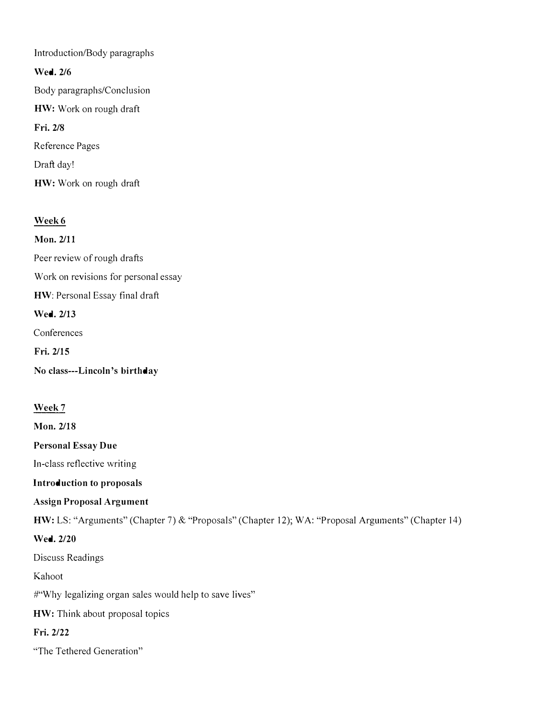Introduction/Body paragraphs Wed. 2/6 Body paragraphs/Conclusion HW: Work on rough draft Fri. 2/8 Reference Pages Draft day! HW: Work on rough draft

## Week<sub>6</sub>

Mon. 2/11 Peer review of rough drafts Work on revisions for personal essay HW: Personal Essay final draft Wed. 2/13 Conferences Fri. 2/15 No class---Lincoln's birthday

## Week7

Mon. 2/18

Personal Essay Due

In-class reflective writing

Introduction to proposals

Assign Proposal Argument

HW: LS: "Arguments" (Chapter 7) & "Proposals" (Chapter 12); WA: "Proposal Arguments" (Chapter 14)

#### Wed. 2/20

Discuss Readings

Kahoot

#"Why legalizing organ sales would help to save lives"

HW: Think about proposal topics

## Fri. 2/22

"The Tethered Generation"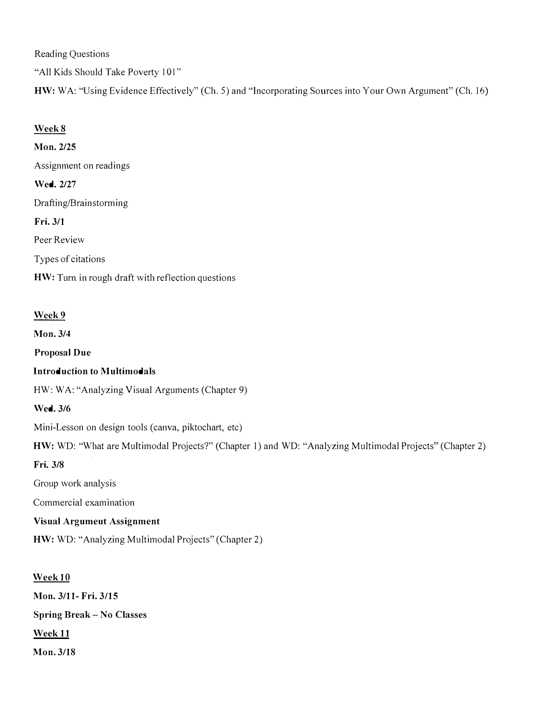Reading Questions

"All Kids Should Take Poverty 101"

HW: WA: "Using Evidence Effectively" (Ch. 5) and "Incorporating Sources into Your Own Argument" (Ch. 16)

## Week 8

Mon. 2/25 Assignment on readings Wed. 2/27 Drafting/Brainstorming Fri. 3/1 Peer Review Types of citations HW: Turn in rough draft with reflection questions

## Week 9

Mon. 3/4

Proposal Due

#### Introduction to Multimodals

HW: WA: "Analyzing Visual Arguments (Chapter 9)

## Wed. 3/6

Mini-Lesson on design tools (canva, piktochart, etc)

HW: WD: "What are Multimodal Projects?" (Chapter 1) and WD: "Analyzing Multimodal Projects" (Chapter 2)

Fri. 3/8

Group work analysis

Commercial examination

Visual Argumeut Assignment

HW: WD: "Analyzing Multimodal Projects" (Chapter 2)

## Week 10

Mon. 3/11- Fri. 3/15 Spring Break - No Classes Week 11 Mon. 3/18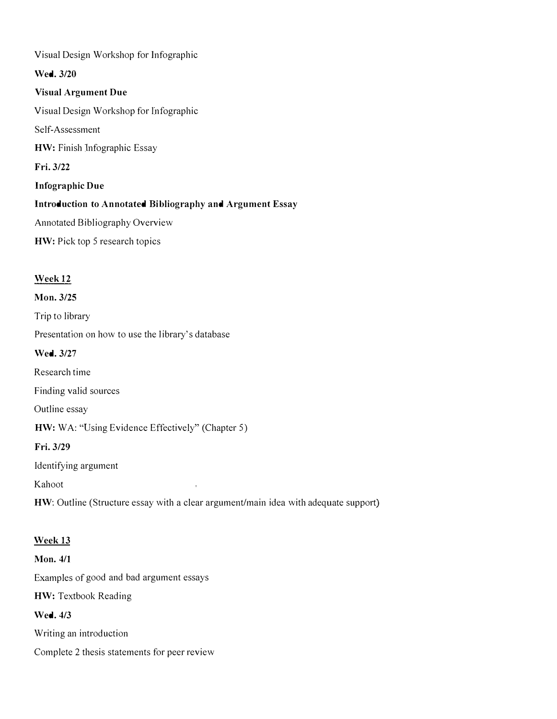Visual Design Workshop for Infographic Wed. 3/20 Visual Argument Due Visual Design Workshop for lnfographic Self-Assessment HW: Finish lnfographic Essay Fri. 3/22 Infographic Due Introduction to Annotated Bibliography and Argument Essay Annotated Bibliography Overview HW: Pick top 5 research topics

## Week12

#### Mon. 3/25

Trip to library

Presentation on how to use the library's database

Wed. 3/27

Research time

Finding valid sources

Outline essay

HW: WA: "Using Evidence Effectively" (Chapter 5)

Fri. 3/29

Identifying argument

Kahoot

HW: Outline (Structure essay with a clear argument/main idea with adequate support)

ł,

#### Week 13

Mon. 4/1 Examples of good and bad argument essays HW: Textbook Reading Wed. 4/3

Writing an introduction

Complete 2 thesis statements for peer review